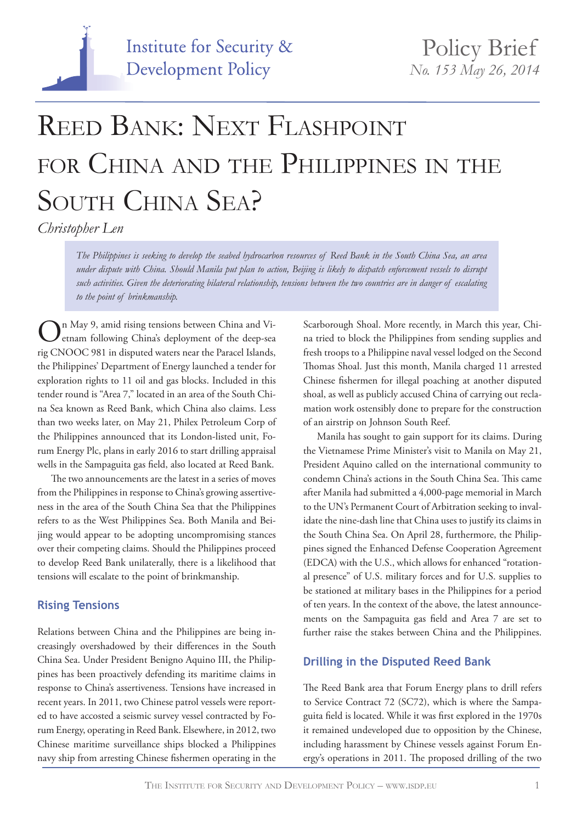

# REED BANK: NEXT FLASHPOINT for China and the Philippines in the SOUTH CHINA SEA?

*Christopher Len*

*The Philippines is seeking to develop the seabed hydrocarbon resources of Reed Bank in the South China Sea, an area under dispute with China. Should Manila put plan to action, Beijing is likely to dispatch enforcement vessels to disrupt such activities. Given the deteriorating bilateral relationship, tensions between the two countries are in danger of escalating to the point of brinkmanship.*

On May 9, amid rising tensions between China and Vietnam following China's deployment of the deep-sea rig CNOOC 981 in disputed waters near the Paracel Islands, the Philippines' Department of Energy launched a tender for exploration rights to 11 oil and gas blocks. Included in this tender round is "Area 7," located in an area of the South China Sea known as Reed Bank, which China also claims. Less than two weeks later, on May 21, Philex Petroleum Corp of the Philippines announced that its London-listed unit, Forum Energy Plc, plans in early 2016 to start drilling appraisal wells in the Sampaguita gas field, also located at Reed Bank.

The two announcements are the latest in a series of moves from the Philippines in response to China's growing assertiveness in the area of the South China Sea that the Philippines refers to as the West Philippines Sea. Both Manila and Beijing would appear to be adopting uncompromising stances over their competing claims. Should the Philippines proceed to develop Reed Bank unilaterally, there is a likelihood that tensions will escalate to the point of brinkmanship.

## **Rising Tensions**

Relations between China and the Philippines are being increasingly overshadowed by their differences in the South China Sea. Under President Benigno Aquino III, the Philippines has been proactively defending its maritime claims in response to China's assertiveness. Tensions have increased in recent years. In 2011, two Chinese patrol vessels were reported to have accosted a seismic survey vessel contracted by Forum Energy, operating in Reed Bank. Elsewhere, in 2012, two Chinese maritime surveillance ships blocked a Philippines navy ship from arresting Chinese fishermen operating in the

Scarborough Shoal. More recently, in March this year, China tried to block the Philippines from sending supplies and fresh troops to a Philippine naval vessel lodged on the Second Thomas Shoal. Just this month, Manila charged 11 arrested Chinese fishermen for illegal poaching at another disputed shoal, as well as publicly accused China of carrying out reclamation work ostensibly done to prepare for the construction of an airstrip on Johnson South Reef.

 Manila has sought to gain support for its claims. During the Vietnamese Prime Minister's visit to Manila on May 21, President Aquino called on the international community to condemn China's actions in the South China Sea. This came after Manila had submitted a 4,000-page memorial in March to the UN's Permanent Court of Arbitration seeking to invalidate the nine-dash line that China uses to justify its claims in the South China Sea. On April 28, furthermore, the Philippines signed the Enhanced Defense Cooperation Agreement (EDCA) with the U.S., which allows for enhanced "rotational presence" of U.S. military forces and for U.S. supplies to be stationed at military bases in the Philippines for a period of ten years. In the context of the above, the latest announcements on the Sampaguita gas field and Area 7 are set to further raise the stakes between China and the Philippines.

## **Drilling in the Disputed Reed Bank**

The Reed Bank area that Forum Energy plans to drill refers to Service Contract 72 (SC72), which is where the Sampaguita field is located. While it was first explored in the 1970s it remained undeveloped due to opposition by the Chinese, including harassment by Chinese vessels against Forum Energy's operations in 2011. The proposed drilling of the two